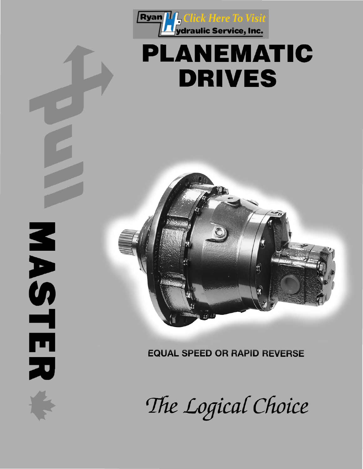

# **PLANEMATIC DRIVES**



NASTE

刀

**EQUAL SPEED OR RAPID REVERSE** 

The Logical Choice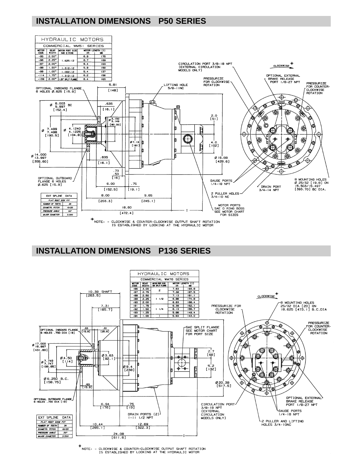# **INSTALLATION DIMENSIONS P50 SERIES**



## **INSTALLATION DIMENSIONS P136 SERIES**



.<br>NOTE: - CLOCKWISE & COUNTER-CLOCKWISE OUTPUT SHAFT ROTATION<br>IS ESTABLISHED BY LOOKING AT THE HYDRAULIC MOTOR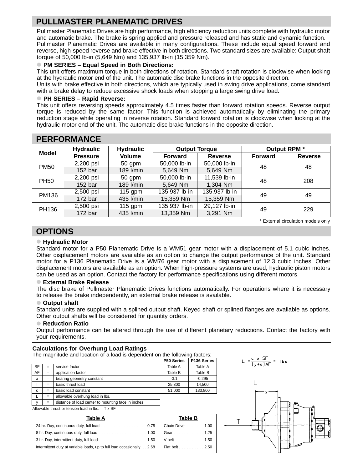# **PULLMASTER PLANEMATIC DRIVES**

Pullmaster Planematic Drives are high performance, high efficiency reduction units complete with hydraulic motor and automatic brake. The brake is spring applied and pressure released and has static and dynamic function. Pullmaster Planematic Drives are available in many configurations. These include equal speed forward and reverse, high-speed reverse and brake effective in both directions. Two standard sizes are available: Output shaft torque of 50,000 lb-in (5,649 Nm) and 135,937 lb-in (15,359 Nm).

## **• PM SERIES – Equal Speed in Both Directions:**

This unit offers maximum torque in both directions of rotation. Standard shaft rotation is clockwise when looking at the hydraulic motor end of the unit. The automatic disc brake functions in the opposite direction.

Units with brake effective in both directions, which are typically used in swing drive applications, come standard with a brake delay to reduce excessive shock loads when stopping a large swing drive load.

#### **• PH SERIES – Rapid Reverse:**

This unit offers reversing speeds approximately 4.5 times faster than forward rotation speeds. Reverse output torque is reduced by the same factor. This function is achieved automatically by eliminating the primary reduction stage while operating in reverse rotation. Standard forward rotation is clockwise when looking at the hydraulic motor end of the unit. The automatic disc brake functions in the opposite direction.

| Model       | <b>Hydraulic</b>   | <b>Hydraulic</b><br><b>Output Torque</b> |                |                | Output RPM *   |                |  |  |
|-------------|--------------------|------------------------------------------|----------------|----------------|----------------|----------------|--|--|
|             | <b>Pressure</b>    | <b>Volume</b>                            | <b>Forward</b> | <b>Reverse</b> | <b>Forward</b> | <b>Reverse</b> |  |  |
| <b>PM50</b> | 2,200 psi          | $50$ gpm                                 | 50,000 lb-in   | 50,000 lb-in   | 48             | 48             |  |  |
|             | 152 <sub>bar</sub> | 189 l/min                                | 5,649 Nm       | 5,649 Nm       |                |                |  |  |
| <b>PH50</b> | 2,200 psi          | $50$ gpm                                 | 50,000 lb-in   | 11,539 lb-in   | 48             | 208            |  |  |
|             | 152 <sub>bar</sub> | 189 l/min                                | 5,649 Nm       | 1,304 Nm       |                |                |  |  |
| PM136       | 2,500 psi          | 115 gpm                                  | 135,937 lb-in  | 135,937 lb-in  | 49             | 49             |  |  |
|             | 172 <sub>bar</sub> | 435 l/min                                | 15,359 Nm      | 15,359 Nm      |                |                |  |  |
| PH136       | 2,500 psi          | 115 gpm                                  | 135,937 lb-in  | 29,127 lb-in   | 49             | 229            |  |  |
|             | 172 bar            | 435 l/min                                | 13,359 Nm      | 3,291 Nm       |                |                |  |  |

# **PERFORMANCE**

\* External circulation models only

## **OPTIONS**

## **• Hydraulic Motor**

Standard motor for a P50 Planematic Drive is a WM51 gear motor with a displacement of 5.1 cubic inches. Other displacement motors are available as an option to change the output performance of the unit. Standard motor for a P136 Planematic Drive is a WM76 gear motor with a displacement of 12.3 cubic inches. Other displacement motors are available as an option. When high-pressure systems are used, hydraulic piston motors can be used as an option. Contact the factory for performance specifications using different motors.

#### **• External Brake Release**

The disc brake of Pullmaster Planematic Drives functions automatically. For operations where it is necessary to release the brake independently, an external brake release is available.

#### **• Output shaft**

Standard units are supplied with a splined output shaft. Keyed shaft or splined flanges are available as options. Other output shafts will be considered for quantity orders.

#### **• Reduction Ratio**

Output performance can be altered through the use of different planetary reductions. Contact the factory with your requirements.

#### **Calculations for Overhung Load Ratings**

The magnitude and location of a load is dependent on the following factors:

|           |     |                                                    | P50 Series | P136 Series |
|-----------|-----|----------------------------------------------------|------------|-------------|
| <b>SF</b> | $=$ | service factor                                     | Table A    | Table A     |
| AF        | $=$ | application factor                                 | Table B    | Table B     |
| a         | $=$ | bearing geometry constant                          | $-3.1$     | $-0.295$    |
|           | $=$ | basic thrust load                                  | 25.300     | 14.500      |
| C         | $=$ | basic load constant                                | 51,000     | 133,800     |
|           | $=$ | allowable overhung load in Ibs.                    |            |             |
|           | $=$ | distance of load center to mounting face in inches |            |             |

Allowable thrust or tension load in lbs.  $= T \times SF$ 

| Table A                                                                  | Table B          |  |
|--------------------------------------------------------------------------|------------------|--|
|                                                                          | Chain Drive 1.00 |  |
|                                                                          | Gear 1.25        |  |
|                                                                          | V-belt 1.50      |  |
| Intermittent duty at variable loads, up to full load occasionally  .2.68 | Flat belt 2.50   |  |

 $\frac{c \times SF}{(y+a)AF}$  = lbs